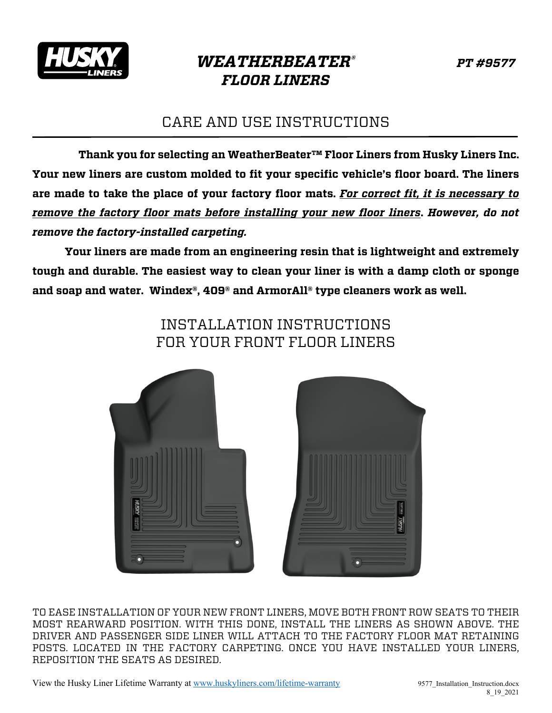

## *WEATHERBEATER® PT #9577 FLOOR LINERS*

## CARE AND USE INSTRUCTIONS

 **Thank you for selecting an WeatherBeater™ Floor Liners from Husky Liners Inc. Your new liners are custom molded to fit your specific vehicle's floor board. The liners are made to take the place of your factory floor mats.** *For correct fit, it is necessary to remove the factory floor mats before installing your new floor liners***.** *However, do not remove the factory-installed carpeting.*

**Your liners are made from an engineering resin that is lightweight and extremely tough and durable. The easiest way to clean your liner is with a damp cloth or sponge and soap and water. Windex®, 409® and ArmorAll® type cleaners work as well.** 

> INSTALLATION INSTRUCTIONS FOR YOUR FRONT FLOOR LINERS





TO EASE INSTALLATION OF YOUR NEW FRONT LINERS, MOVE BOTH FRONT ROW SEATS TO THEIR MOST REARWARD POSITION. WITH THIS DONE, INSTALL THE LINERS AS SHOWN ABOVE. THE DRIVER AND PASSENGER SIDE LINER WILL ATTACH TO THE FACTORY FLOOR MAT RETAINING POSTS. LOCATED IN THE FACTORY CARPETING. ONCE YOU HAVE INSTALLED YOUR LINERS, REPOSITION THE SEATS AS DESIRED.